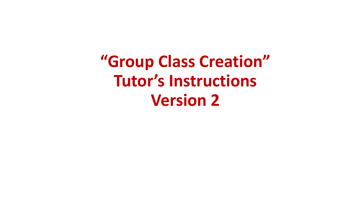**"Group Class Creation" Tutor's Instructions Version 2**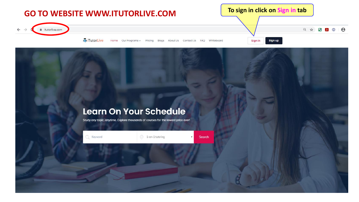

#### **Learn On Your Schedule**

Study any topic, anytime. Explore thousands of courses for the lowest price ever!

C Keyword 1-on-1 tutoring Search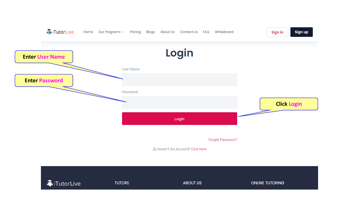

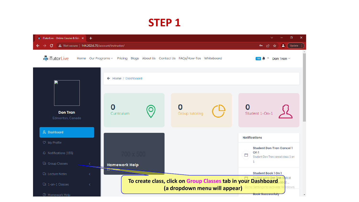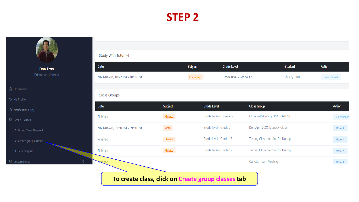

| Study With Tutor 1-1            |                |                    |                          |                                         |                   |               |
|---------------------------------|----------------|--------------------|--------------------------|-----------------------------------------|-------------------|---------------|
| Date                            |                | <b>Subject</b>     | <b>Grade Level</b>       |                                         | <b>Student</b>    | <b>Action</b> |
| 2021-04-18, 10:27 PM - 10:55 PM |                | Chemistry          | Grade level - Grade 12   |                                         | <b>Duong Tran</b> | View Record   |
|                                 |                |                    |                          |                                         |                   |               |
| <b>Class Groups</b>             |                |                    |                          |                                         |                   |               |
| Date                            | <b>Subject</b> | <b>Grade Level</b> |                          | <b>Class Group</b>                      |                   | <b>Action</b> |
| Finished                        | Physics        |                    | Grade level - University | Class with Duong (19April2021)          |                   | View Recon    |
| 2021-04-26, 05:30 PM - 09:30 PM | Math           |                    | Grade level - Grade 7    | Don April 2021 Monday Class             |                   | More $\geq$   |
| Finished                        | Physics        |                    | Grade level - Grade 12   | <b>Testing Class creation for Duong</b> |                   | More $\geq$   |
| Finished                        | Physics        |                    | Grade level - Grade 12   | <b>Testing Class creation for Duong</b> |                   | More $\geq$   |
| Aished                          |                |                    |                          | <b>Canada Team Meeting</b>              |                   | More $\geq$   |
|                                 |                |                    |                          |                                         |                   |               |

**To create class, click on Create group classes tab**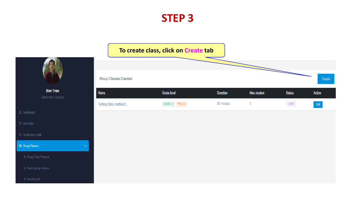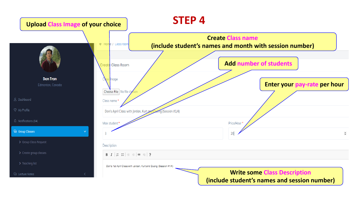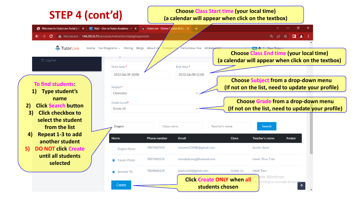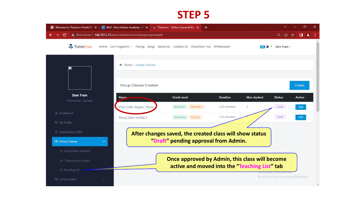